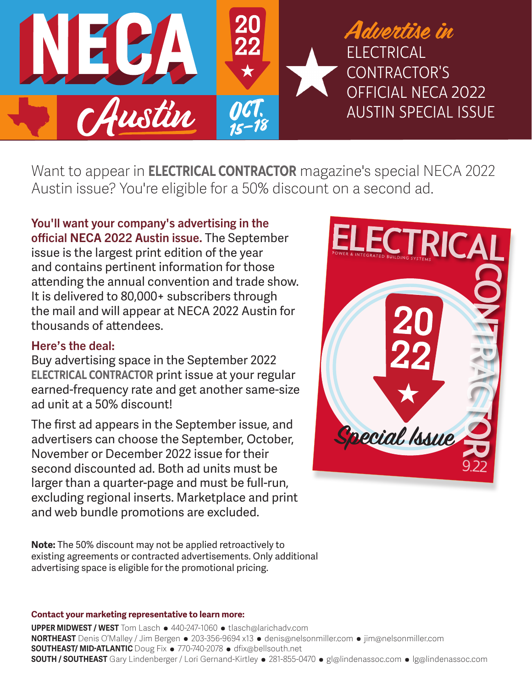

Want to appear in **ELECTRICAL CONTRACTOR** magazine's special NECA 2022 Austin issue? You're eligible for a 50% discount on a second ad.

You'll want your company's advertising in the official NECA 2022 Austin issue. The September issue is the largest print edition of the year and contains pertinent information for those attending the annual convention and trade show. It is delivered to 80,000+ subscribers through the mail and will appear at NECA 2022 Austin for thousands of attendees.

# Here's the deal:

Buy advertising space in the September 2022 ELECTRICAL CONTRACTOR print issue at your regular earned-frequency rate and get another same-size ad unit at a 50% discount!

The first ad appears in the September issue, and advertisers can choose the September, October, November or December 2022 issue for their second discounted ad. Both ad units must be larger than a quarter-page and must be full-run, excluding regional inserts. Marketplace and print and web bundle promotions are excluded.

**Note:** The 50% discount may not be applied retroactively to existing agreements or contracted advertisements. Only additional advertising space is eligible for the promotional pricing.

### **Contact your marketing representative to learn more:**

**UPPER MIDWEST / WEST** Tom Lasch • 440-247-1060 • tlasch@larichadv.com **NORTHEAST** Denis O'Malley / Jim Bergen • 203-356-9694 x13 • denis@nelsonmiller.com • jim@nelsonmiller.com **SOUTHEAST/ MID-ATLANTIC** Doug Fix • 770-740-2078 • dfix@bellsouth.net **SOUTH / SOUTHEAST** Gary Lindenberger / Lori Gernand-Kirtley • 281-855-0470 • gl@lindenassoc.com • lg@lindenassoc.com

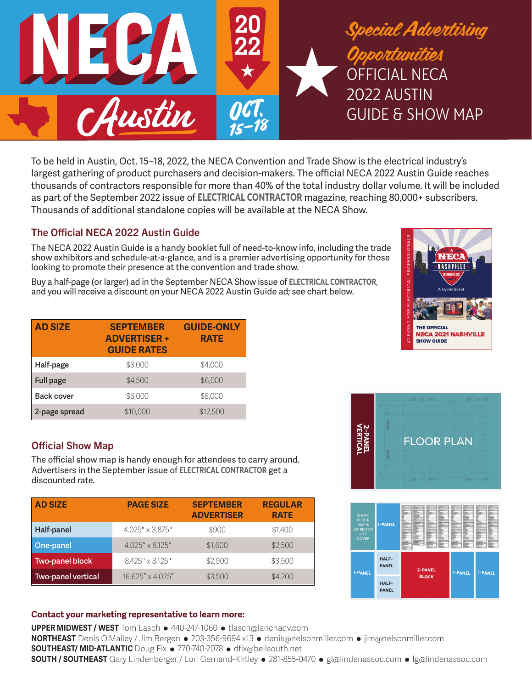

To be held in Austin, Oct. 15–18, 2022, the NECA Convention and Trade Show is the electrical industry's largest gathering of product purchasers and decision-makers. The official NECA 2022 Austin Guide reaches thousands of contractors responsible for more than 40% of the total industry dollar volume. It will be included as part of the September 2022 issue of ELECTRICAL CONTRACTOR magazine, reaching 80,000+ subscribers. Thousands of additional standalone copies will be available at the NECA Show.

# The Official NECA 2022 Austin Guide

The NECA 2022 Austin Guide is a handy booklet full of need-to-know info, including the trade show exhibitors and schedule-at-a-glance, and is a premier advertising opportunity for those looking to promote their presence at the convention and trade show.

Buy a half-page (or larger) ad in the September NECA Show issue of ELECTRICAL CONTRACTOR**,** and you will receive a discount on your NECA 2022 Austin Guide ad; see chart below.

| EVENT FOR ELECTRICAL PROFESSIONALS | <b>Take</b><br><b>NASHVH</b><br><b>ICTORER 9-12, 2021</b><br><b>A Hybrid Event</b> |
|------------------------------------|------------------------------------------------------------------------------------|
|                                    | <b>THE OFFICIAL</b>                                                                |
| 41                                 | <b>NECA 2021 NASHVILLE</b><br><b>SHOW GUIDE</b>                                    |

| <b>AD SIZE</b>    | <b>SEPTEMBER</b><br><b>ADVERTISER +</b><br><b>GUIDE RATES</b> | <b>GUIDE-ONLY</b><br><b>RATE</b> |
|-------------------|---------------------------------------------------------------|----------------------------------|
| Half-page         | \$3,000                                                       | \$4,000                          |
| <b>Full page</b>  | \$4,500                                                       | \$6,000                          |
| <b>Back cover</b> | \$6,000                                                       | \$8,000                          |
| 2-page spread     | \$10,000                                                      | \$12,500                         |

# Official Show Map

The official show map is handy enough for attendees to carry around. Advertisers in the September issue of ELECTRICAL CONTRACTOR get a discounted rate.

| <b>AD SIZE</b>     | <b>PAGE SIZE</b>       | <b>SEPTEMBER</b><br><b>ADVERTISER</b> | <b>REGULAR</b><br><b>RATE</b> |
|--------------------|------------------------|---------------------------------------|-------------------------------|
| Half-panel         | 4.025" x 3.875"        | \$900                                 | \$1,400                       |
| One-panel          | $4.025" \times 8.125"$ | \$1,600                               | \$2,500                       |
| Two-panel block    | $8.425" \times 8.125"$ | \$2,900                               | \$3,500                       |
| Two-panel vertical | 16.625" x 4.025"       | \$3,500                               | \$4,200                       |

### **Contact your marketing representative to learn more:**

**UPPER MIDWEST / WEST** Tom Lasch • 440-247-1060 • tlasch@larichadv.com **NORTHEAST** Denis O'Malley / Jim Bergen • 203-356-9694 x13 • denis@nelsonmiller.com • jim@nelsonmiller.com **SOUTHEAST/ MID-ATLANTIC** Doug Fix • 770-740-2078 • dfix@bellsouth.net **SOUTH / SOUTHEAST** Gary Lindenberger / Lori Gernand-Kirtley • 281-855-0470 • gl@lindenassoc.com • lg@lindenassoc.com



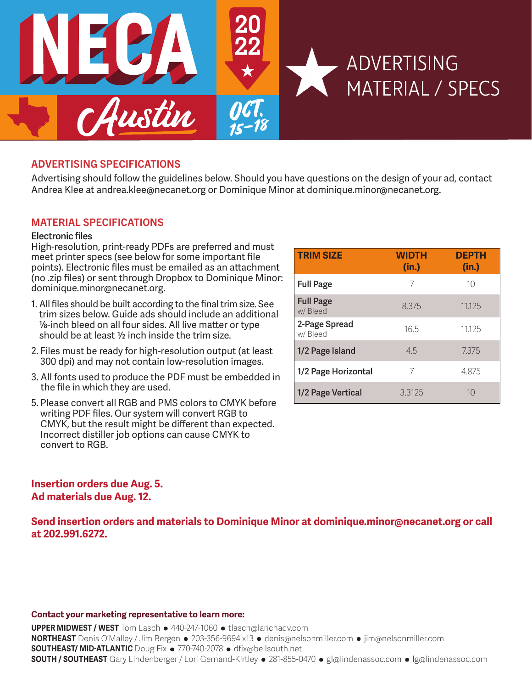

## ADVERTISING SPECIFICATIONS

Advertising should follow the guidelines below. Should you have questions on the design of your ad, contact Andrea Klee at andrea.klee@necanet.org or Dominique Minor at dominique.minor@necanet.org.

### MATERIAL SPECIFICATIONS

#### **Electronic files**

High-resolution, print-ready PDFs are preferred and must meet printer specs (see below for some important file points). Electronic files must be emailed as an attachment (no .zip files) or sent through Dropbox to Dominique Minor: dominique.minor@necanet.org.

- 1. All files should be built according to the final trim size. See trim sizes below. Guide ads should include an additional 1/8-inch bleed on all four sides. All live matter or type should be at least 1/2 inch inside the trim size.
- 2. Files must be ready for high-resolution output (at least 300 dpi) and may not contain low-resolution images.
- 3. All fonts used to produce the PDF must be embedded in the file in which they are used.
- 5. Please convert all RGB and PMS colors to CMYK before writing PDF files. Our system will convert RGB to CMYK, but the result might be different than expected. Incorrect distiller job options can cause CMYK to convert to RGB.

### **Insertion orders due Aug. 5. Ad materials due Aug. 12.**

**Send insertion orders and materials to Dominique Minor at dominique.minor@necanet.org or call at 202.991.6272.**

#### **Contact your marketing representative to learn more:**

**UPPER MIDWEST / WEST** Tom Lasch • 440-247-1060 • tlasch@larichadv.com **NORTHEAST** Denis O'Malley / Jim Bergen • 203-356-9694 x13 • denis@nelsonmiller.com • jim@nelsonmiller.com **SOUTHEAST/ MID-ATLANTIC** Doug Fix • 770-740-2078 • dfix@bellsouth.net **SOUTH / SOUTHEAST** Gary Lindenberger / Lori Gernand-Kirtley • 281-855-0470 • gl@lindenassoc.com • lg@lindenassoc.com

| <b>TRIM SIZE</b>            | <b>WIDTH</b><br>(in.) | <b>DEPTH</b><br>(in.) |
|-----------------------------|-----------------------|-----------------------|
| <b>Full Page</b>            | 7                     | 10                    |
| <b>Full Page</b><br>w/Bleed | 8.375                 | 11.125                |
| 2-Page Spread<br>w/Bleed    | 16.5                  | 11.125                |
| 1/2 Page Island             | 4.5                   | 7.375                 |
| 1/2 Page Horizontal         | 7                     | 4.875                 |
| 1/2 Page Vertical           | 3.3125                | 10                    |